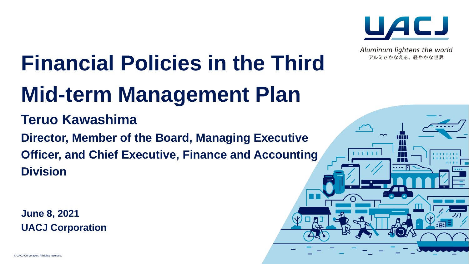

Aluminum lightens the world アルミでかなえる、軽やかな世界

 $\sim$ 

Ш

# **Financial Policies in the Third Mid-term Management Plan**

# **Teruo Kawashima**

**Director, Member of the Board, Managing Executive Officer, and Chief Executive, Finance and Accounting Division**

**June 8, 2021 UACJ Corporation**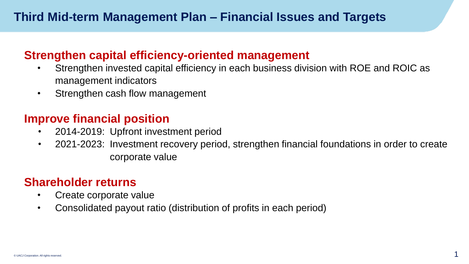#### **Strengthen capital efficiency-oriented management**

- Strengthen invested capital efficiency in each business division with ROE and ROIC as management indicators
- ・ Strengthen cash flow management

#### **Improve financial position**

- 2014-2019: Upfront investment period
- ・ 2021-2023: Investment recovery period, strengthen financial foundations in order to create corporate value

### **Shareholder returns**

- Create corporate value
- ・ Consolidated payout ratio (distribution of profits in each period)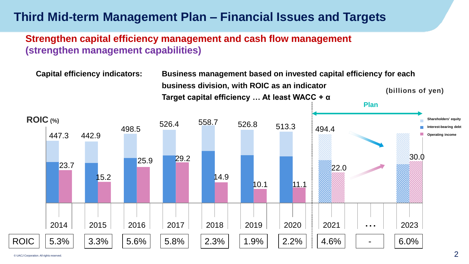# **Third Mid-term Management Plan – Financial Issues and Targets**

#### **Strengthen capital efficiency management and cash flow management (strengthen management capabilities)**

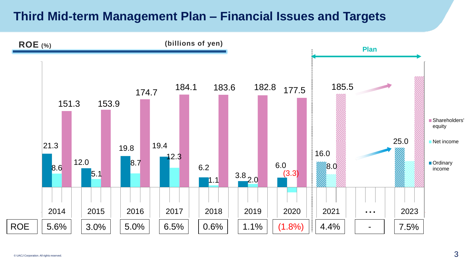## **Third Mid-term Management Plan – Financial Issues and Targets**

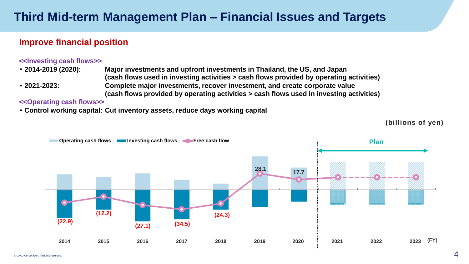### **Third Mid-term Management Plan – Financial Issues and Targets**

#### **Improve financial position**

#### **<<Investing cash flows>>**

・ **2014-2019 (2020): Major investments and upfront investments in Thailand, the US, and Japan (cash flows used in investing activities > cash flows provided by operating activities)** ・ **2021-2023: Complete major investments, recover investment, and create corporate value (cash flows provided by operating activities > cash flows used in investing activities)**

#### **<<Operating cash flows>>**

・ **Control working capital: Cut inventory assets, reduce days working capital**



**(billions of yen)**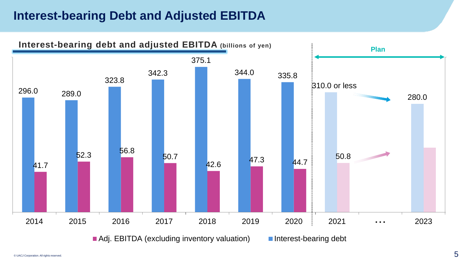# **Interest-bearing Debt and Adjusted EBITDA**

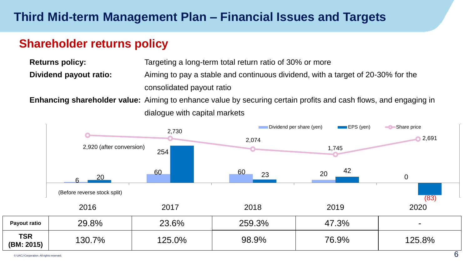# **Shareholder returns policy**

**Returns policy:** Targeting a long-term total return ratio of 30% or more **Dividend payout ratio:** Aiming to pay a stable and continuous dividend, with a target of 20-30% for the consolidated payout ratio

 **Enhancing shareholder value:** Aiming to enhance value by securing certain profits and cash flows, and engaging in dialogue with capital markets